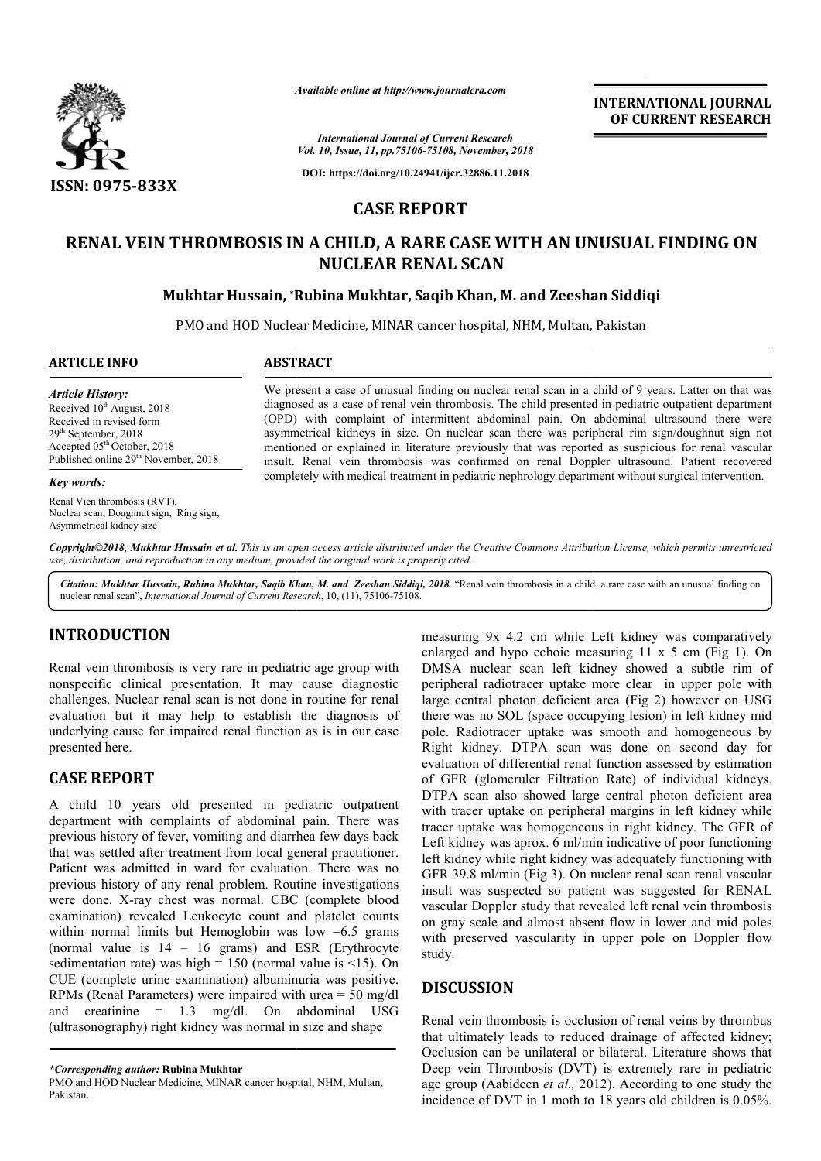

*Available online at http://www.journalcra.com*

**INTERNATIONAL JOURNAL OF CURRENT RESEARCH**

*International Journal of Current Research Vol. 10, Issue, 11, pp.75106-75108, November, 2018*

**DOI: https://doi.org/10.24941/ijcr.32886.11.2018**

# **CASE REPORT**

# **RENAL VEIN THROMBOSIS IN A CHILD, A RARE CASE WITH AN UNUSUAL FINDING ON THROMBOSIS IN NUCLEAR RENAL SCAN**

## **Mukhtar Hussain, \*Rubina Mukhtar, Saqib Khan, M. and Rubina Zeeshan Siddiqi**

PMO and HOD Nuclear Medicine, MINAR cancer hospital, NHM, Multan, Pakistan

#### **ARTICLE INFO ABSTRACT**

*Article History:* Received 10<sup>th</sup> August, 2018 Received in revised form 29th September, 2018 Accepted 05<sup>th</sup> October, 2018 Published online 29<sup>th</sup> November, 2018

#### *Key words:*

Renal Vien thrombosis (RVT), Nuclear scan, Doughnut sign, Ring sign, Asymmetrical kidney size

We present a case of unusual finding on nuclear renal scan in a child of 9 years. Latter on that was We present a case of unusual finding on nuclear renal scan in a child of 9 years. Latter on that was diagnosed as a case of renal vein thrombosis. The child presented in pediatric outpatient department (OPD) with complaint of intermittent abdominal pain. On abdominal ultrasound there were asymmetrical kidneys in size. On nuclear scan there was peripheral rim sign/doughnut sign not mentioned or explained in literature previously that was reported as suspicious for renal vascular insult. Renal vein thrombosis was confirmed on renal Doppler ultrasound. Patient recovered completely with medical treatment in pediatric nephrology department without surgical intervention. (OPD) with complaint of intermittent abdominal pain. On abdominal ultrasound there were asymmetrical kidneys in size. On nuclear scan there was peripheral rim sign/doughnut sign not mentioned or explained in literature pre

Copyright©2018, Mukhtar Hussain et al. This is an open access article distributed under the Creative Commons Attribution License, which permits unrestricted *use, distribution, and reproduction in any medium, provided the original work is properly cited.*

Citation: Mukhtar Hussain, Rubina Mukhtar, Saqib Khan, M. and Zeeshan Siddiqi, 2018. "Renal vein thrombosis in a child, a rare case with an unusual finding on nuclear renal scan", *International Journal of Current Research* , 10, (11), 75106-75108.

### **INTRODUCTION**

Renal vein thrombosis is very rare in pediatric age group with nonspecific clinical presentation. It may cause diagnostic challenges. Nuclear renal scan is not done in routine for renal evaluation but it may help to establish the diagnosis of underlying cause for impaired renal function as is in our case presented here.

## **CASE REPORT**

A child 10 years old presented in pediatric outpatient department with complaints of abdominal pain. There was previous history of fever, vomiting and diarrhea few days back that was settled after treatment from local general practitioner. Patient was admitted in ward for evaluation. There was no previous history of any renal problem. Routine investigations were done. X-ray chest was normal. CBC (complete blood examination) revealed Leukocyte count and platelet counts within normal limits but Hemoglobin was low =6.5 grams (normal value is  $14 - 16$  grams) and ESR (Erythrocyte sedimentation rate) was high =  $150$  (normal value is  $\leq 15$ ). On CUE (complete urine examination) albuminuria was positive. RPMs (Renal Parameters) were impaired with urea = 50 mg/dl and creatinine = 1.3 mg/dl. On abdominal USG (ultrasonography) right kidney was normal in size and shape th complaints of abdominal pain. There was<br>y of fever, vomiting and diarrhea few days back<br>l after treatment from local general practitioner.<br>lmitted in ward for evaluation. There was no<br>y of any renal problem. Routine in

measuring 9x 4.2 cm while Left kidney was comparatively<br>
measuring an hypo echoic measuring 11 x 5 cm (Fig 1). On<br>
the my cause diagnostic peripheral radiotracer uptake more clear in upper pole with<br>
done in routine for re enlarged and hypo echoic measuring  $11 \times 5$  cm (Fig 1). On DMSA nuclear scan left kidney showed a subtle rim of DMSA nuclear scan left kidney showed a subtle rim of peripheral radiotracer uptake more clear in upper pole with large central photon deficient area (Fig 2) however on USG there was no SOL (space occupying lesion) in left kidney mid pole. Radiotracer uptake was smooth and homogeneous by Right kidney. DTPA scan was done on second day for evaluation of differential renal function assessed by estimation of GFR (glomeruler Filtration Rate) of individual kidneys. DTPA scan also showed large central photon deficient area with tracer uptake on peripheral margins in left kidney while tracer uptake was homogeneous in right kidney. The GFR of Left kidney was aprox. 6 ml/min indicative of poor functioning left kidney while right kidney was adequately functioning wi GFR 39.8 ml/min (Fig 3). On nuclear renal scan renal vascular insult was suspected so patient was suggested for RENAL vascular Doppler study that revealed left renal vein thrombosis on gray scale and almost absent flow in lower and mid poles with preserved vascularity in upper pole on Doppler flow study. there was no SOL (space occupying lesion) in left kidney mid<br>pole. Radiotracer uptake was smooth and homogeneous by<br>Right kidney. DTPA scan was done on second day for<br>evaluation of differential renal function assessed by e e on peripheral margins in left kidney while<br>is homogeneous in right kidney. The GFR of<br>prox. 6 ml/min indicative of poor functioning<br>right kidney was adequately functioning with The 39.8 ml/min (Fig 3). On nuclear renal scan renal vascular<br>
ult was suspected so patient was suggested for RENAL<br>
scular Doppler study that revealed left renal vein thrombosis<br>
gray scale and almost absent flow in lowe INTERNATIONAL JOURNAL<br>
OF CURRENT RESEARCH<br>
OF CURRENT RESEARCH<br>
OF CURRENT RESEARCH<br>
TO COMPARE TRESEARCH<br>
EXECUTE TRENCIPATION CON<br>
Anan Siddiqi<br>
n, Pakistan<br>
n a child of 9 years. Latter on that was<br>
n a child of 9 yea

#### **DISCUSSION**

Renal vein thrombosis is occlusion of renal veins by thrombus that ultimately leads to reduced drainage of affected kidney; Occlusion can be unilateral or bilateral. Literature shows that Deep vein Thrombosis (DVT) is extremely rare in pediatric age group (Aabideen *et al.,* 2012). incidence of DVT in 1 moth to 18 years old children is 0.05%.

*<sup>\*</sup>Corresponding author:* **Rubina Mukhtar**

PMO and HOD Nuclear Medicine, MINAR cancer hospital, NHM, Multan, Pakistan.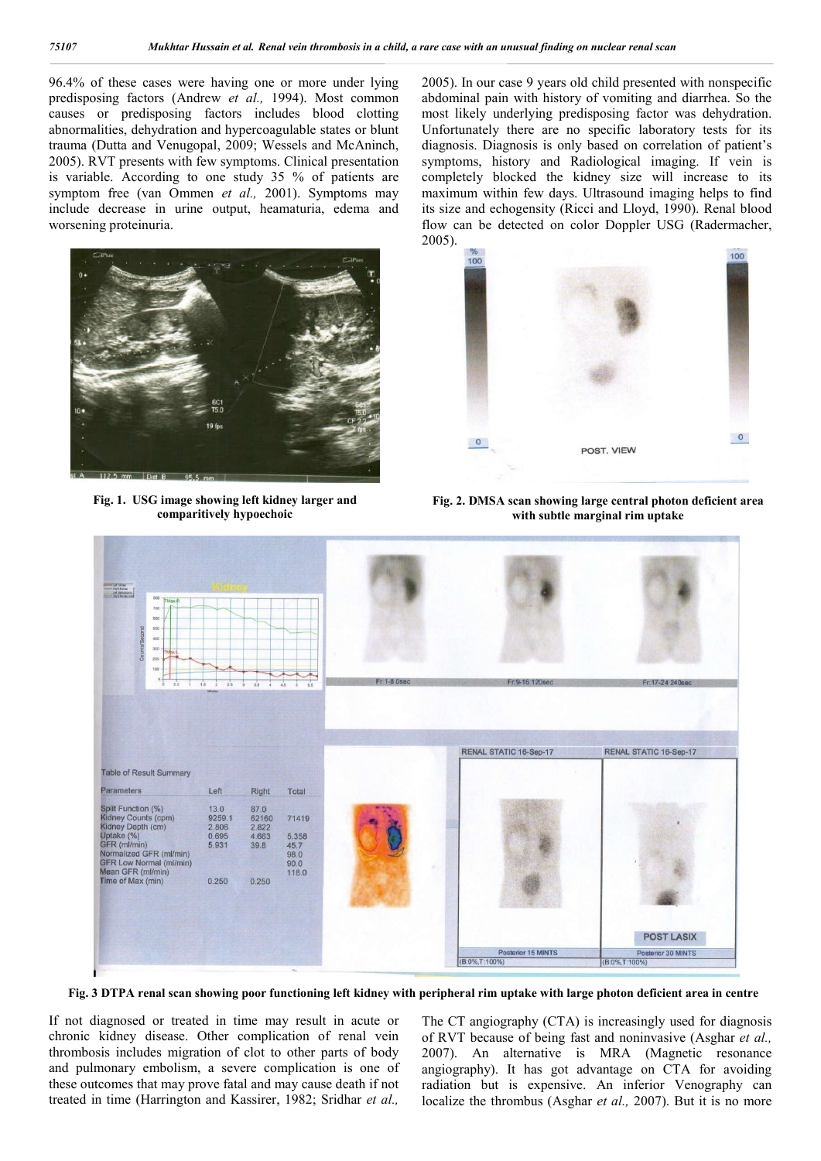96.4% of these cases were having one or more under lying predisposing factors (Andrew *et al.,* 1994). Most common causes or predisposing factors includes blood clotting abnormalities, dehydration and hypercoagulable states or blunt trauma (Dutta and Venugopal, 2009; Wessels and McAninch, 2005). RVT presents with few symptoms. Clinical presentation is variable. According to one study 35 % of patients are symptom free (van Ommen *et al.,* 2001). Symptoms may include decrease in urine output, heamaturia, edema and worsening proteinuria.



**Fig. 1. USG image showing left kidney larger and comparitively hypoechoic**

2005). In our case 9 years old child presented with nonspecific abdominal pain with history of vomiting and diarrhea. So the most likely underlying predisposing factor was dehydration. Unfortunately there are no specific laboratory tests for its diagnosis. Diagnosis is only based on correlation of patient's symptoms, history and Radiological imaging. If vein is completely blocked the kidney size will increase to its maximum within few days. Ultrasound imaging helps to find its size and echogensity (Ricci and Lloyd, 1990). Renal blood flow can be detected on color Doppler USG (Radermacher, 2005).



**Fig. 2. DMSA scan showing large central photon deficient area with subtle marginal rim uptake**



**Fig. 3 DTPA renal scan showing poor functioning left kidney with peripheral rim uptake with large photon deficient area in centre**

If not diagnosed or treated in time may result in acute or chronic kidney disease. Other complication of renal vein thrombosis includes migration of clot to other parts of body and pulmonary embolism, a severe complication is one of these outcomes that may prove fatal and may cause death if not treated in time (Harrington and Kassirer, 1982; Sridhar *et al.,* 

The CT angiography (CTA) is increasingly used for diagnosis of RVT because of being fast and noninvasive (Asghar *et al.,*  2007). An alternative is MRA (Magnetic resonance angiography). It has got advantage on CTA for avoiding radiation but is expensive. An inferior Venography can localize the thrombus (Asghar *et al.,* 2007). But it is no more